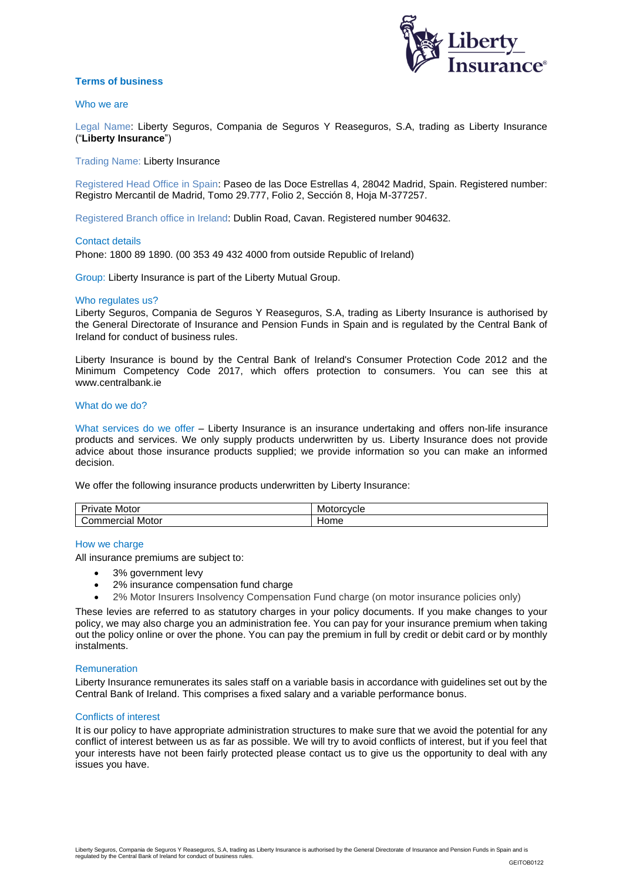

# **Terms of business**

### Who we are

Legal Name: Liberty Seguros, Compania de Seguros Y Reaseguros, S.A, trading as Liberty Insurance ("**Liberty Insurance**")

Trading Name: Liberty Insurance

Registered Head Office in Spain: Paseo de las Doce Estrellas 4, 28042 Madrid, Spain. Registered number: Registro Mercantil de Madrid, Tomo 29.777, Folio 2, Sección 8, Hoja M-377257.

Registered Branch office in Ireland: Dublin Road, Cavan. Registered number 904632.

#### Contact details

Phone: 1800 89 1890. (00 353 49 432 4000 from outside Republic of Ireland)

Group: Liberty Insurance is part of the Liberty Mutual Group.

### Who regulates us?

Liberty Seguros, Compania de Seguros Y Reaseguros, S.A, trading as Liberty Insurance is authorised by the General Directorate of Insurance and Pension Funds in Spain and is regulated by the Central Bank of Ireland for conduct of business rules.

Liberty Insurance is bound by the Central Bank of Ireland's Consumer Protection Code 2012 and the Minimum Competency Code 2017, which offers protection to consumers. You can see this at [www.centralbank.ie](http://www.centralbank.ie/) 

### What do we do?

What services do we offer – Liberty Insurance is an insurance undertaking and offers non-life insurance products and services. We only supply products underwritten by us. Liberty Insurance does not provide advice about those insurance products supplied; we provide information so you can make an informed decision.

We offer the following insurance products underwritten by Liberty Insurance:

| -<br>Motor<br>'rivate | orcvcle<br>Mot |
|-----------------------|----------------|
| Motor<br>Commercial   | Home           |

### How we charge

All insurance premiums are subject to:

- 3% government levy
- 2% insurance compensation fund charge
- 2% Motor Insurers Insolvency Compensation Fund charge (on motor insurance policies only)

These levies are referred to as statutory charges in your policy documents. If you make changes to your policy, we may also charge you an administration fee. You can pay for your insurance premium when taking out the policy online or over the phone. You can pay the premium in full by credit or debit card or by monthly instalments.

### **Remuneration**

Liberty Insurance remunerates its sales staff on a variable basis in accordance with guidelines set out by the Central Bank of Ireland. This comprises a fixed salary and a variable performance bonus.

#### Conflicts of interest

It is our policy to have appropriate administration structures to make sure that we avoid the potential for any conflict of interest between us as far as possible. We will try to avoid conflicts of interest, but if you feel that your interests have not been fairly protected please contact us to give us the opportunity to deal with any issues you have.